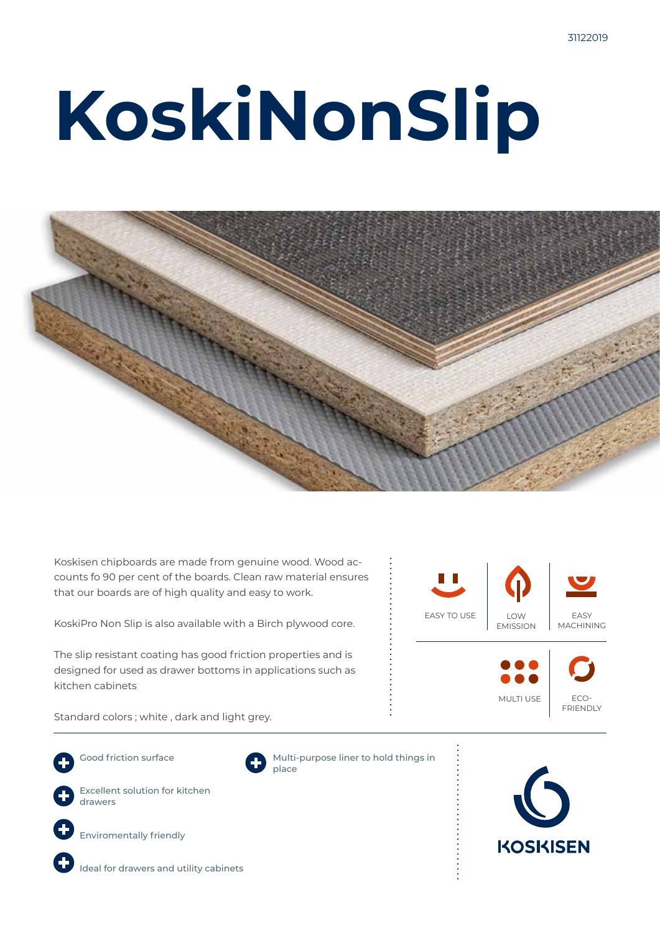# **KoskiNonSlip**



Koskisen chipboards are made from genuine wood. Wood accounts fo 90 per cent of the boards. Clean raw material ensures that our boards are of high quality and easy to work.

KoskiPro Non Slip is also available with a Birch plywood core.

The slip resistant coating has good friction properties and is designed for used as drawer bottoms in applications such as kitchen cabinets

LOW EMISSION EASY MACHINING ECO-FRIENDLY EASY TO USE MULTI USE

Standard colors ; white , dark and light grey.

Good friction surface Excellent solution for kitchen



Multi-purpose liner to hold things in place





Ideal for drawers and utility cabinets